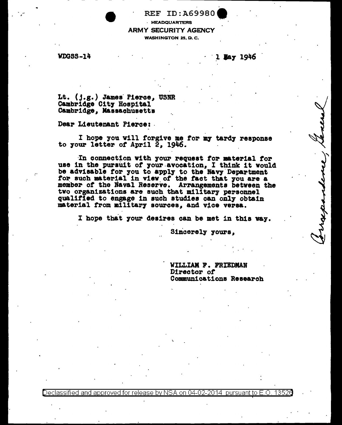REF ID:A69980. · HEADQUARTERS ARMY SECURITY AGENCY WASHINGTON 25, D.C.

WDGSS-14 2 Bay 1946

. . . . . <u>.</u>

Lt. (j.g.) James Pierce, USNR<br>Cambridge City Hospital Cambridge, Massachusetts "

Dear Lieutenant Pierce: .

I hope you vill forgive me for my tardy response to your letter of April 2, 1946.

·In connection vith 7our request tor material tor use in the pursuit of your avocation, I think it would be advisable for you to apply to the Navy Department for such material in view of the fact that you are a meniber *ot* the Naval Reserve. Arrangements between the qualified to engage in such studies can only obtain material from military sources, and vice versa.

I hope that your desires can be met in this way.

Sincerely yours.

WILLIAM F. FRIEDMAN Director of Oommun1cationa Research

0eclassified and approved for release by NSA on 04-02-2014 pursuant to E.O. 13526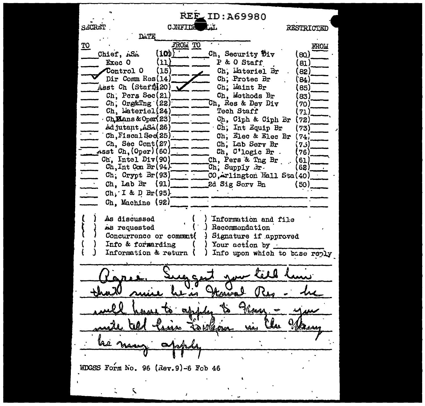**REE ID: A69980** SACRET CUNFIDE **RESTRICTED** FROM TO TO **FROW**  $(10<sup>b</sup>)$ Ch, Security Div Chief, ASA (ഓ) P & O Staff Exec 0 (11)  $81$  $(15)$ Control 0 Ch. Lateriel Br 82) Dir Comm Res(14) Ch. Protec Br '84) Asst Ch (Staff)[20) Ch. Maint Br 85) Ch. Pers Sec(21) Ch. Methods Br '83)  $Ch$ , Org&Tng  $(22)$ Ch. Res & Dev Div 70) Ch. Lateriel(24) Tech Staff  $\overline{71}$ Ch. Ciph & Ciph Br Ch **H**ans & Oper(23)  $(72)$ Ch. Int Equip Br Adjutant, ASA (26) 73)  $\texttt{Ch.F}$ iscal $\texttt{Sed(25)}$ Ch. Elec & Elec Br  $74.$ Ch. Sec Cont(27) Ch. Lab Serv Br  $73$  $\texttt{Asst}$   $\texttt{Ch}$ ,  $\texttt{(Oper)}$   $\texttt{(60)}$ Ch. C'logic Br. .76) Ch. Intel Div(90) Ch. Pers & Tng Br 61  $\text{Ch}, \text{Int Con Br}(94)$ Ch, Supply 3r  $62$  $Ch$ ; Crypt  $Br(93)$ CO, inlington Hall Sta(40) Ch. Lab Br  $(91)$ 2d Sig Scry Bn (50)  $Ch_i$ : I & D Br(95) Ch. Machine (92) As discussed Information and file Recommendation As requested Concurrence or comment( } Signature if approved Info & formarding I Your action by ) Info upon which to base reply Information & return ( Kmary WDGSS Form No. 96 (Rev.9)-6 Fob 46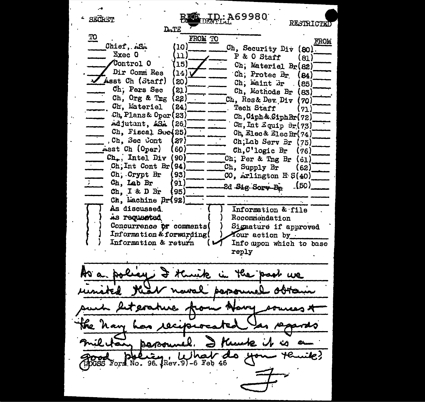<sub>DEP:</sub> A69980 SKOKET RESTRICTE  $L_{LTE}$ TO FROM TO FROM Chief, ASA (10) Ch, Security Div (80). **Exec 0** 11) P & O Staff (81) Control 0  $15)$ Ch, Materiel Br(82) Dir Comm Res  $\mathbf{14}$ Ch; Protec Br (84) Asst Ch (Staff) ( 20 ) Ch. Maint Br (85) Ch, Pers Sec ໃ21. Ch. Methods Br 83) Ch, Org & Tng  $(33)$ Ch. Res& Dev. Div  $(70)$ Ch, Materiel (24) Tech Staff (גל Ch. Plans& Oper (23) Ch. Ciph & Ciph Br (72) Adjutant, ASA (26) Ch. Int Equip Br(73) Ch. Fiscal Soc(25) Ch. Elec & Elec Br(74) , Ch, Sec Cont **27)** Ch;Lab Serv Br (75) Asst Ch (Oper)  $60)$ Ch, C'logic Br  $(76)$  $Ch_{+}$ , Intel Div 90) Ch; Per & Tng Br  $(i)$ Ch, Int Cont  $Br(94)$ Ch, Supply Br (62) Ch, Crypt Br 93)  $CO$ , Arlington H  $S(40)$ Ch, Lab Br 91) .(50) 2d Sig Sorg Br  $Ch$ , I & D  $Br$ 95) Ch. Lachine Br(92) As discussed. Information & file As requested Rocommendation Concurrence or comments( Signature if approved Information & forwarding( Your action by. Information & return Info upon which to base reply I thunk the pask we 001a benzen ruuk. Barry Je? OGSS Form No. 96. Rev. 91-6 Feb 46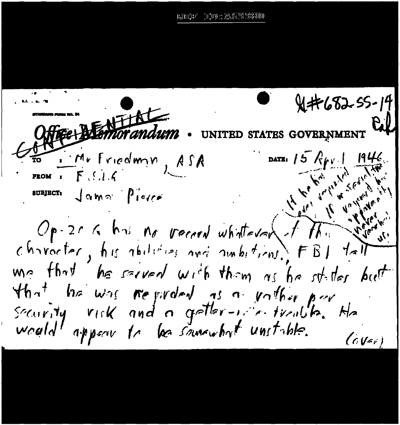THE AGS AN e anet e d

 $X+C52-55-19$ Offree Memorandum. U STATES GOVERNMENT DATE: 15 Rep . 1 1946 SUBJECT:  $\int$   $Q$   $M$   $\alpha$   $\int$   $\int$   $\int$   $\sigma$   $\int$   $\sigma$ Op-20 6 his no vector whatever of  $\pi$  . Letter character, his abilities and ambitions. FBI talk me that he served with them as he stades but that he was regarded as a vather part He<br>security risk and a getter-relationship. He<br>would appear to be semewhat unstable. Cov  $(GVar)$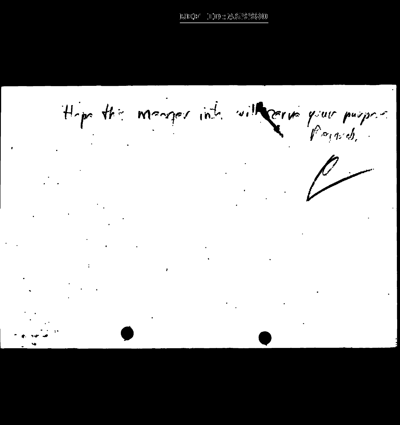Hope the meager into with correspond.

 $\sim 10^7$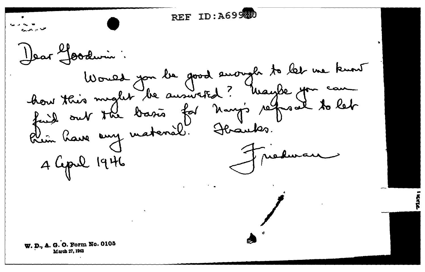REF ID: A699000 Dear Joodwin: Would you be good enough to let me know how this might be ausweited? Waybe you can Rim have any material. Haanks. Triedwan 4 Lepul 1946